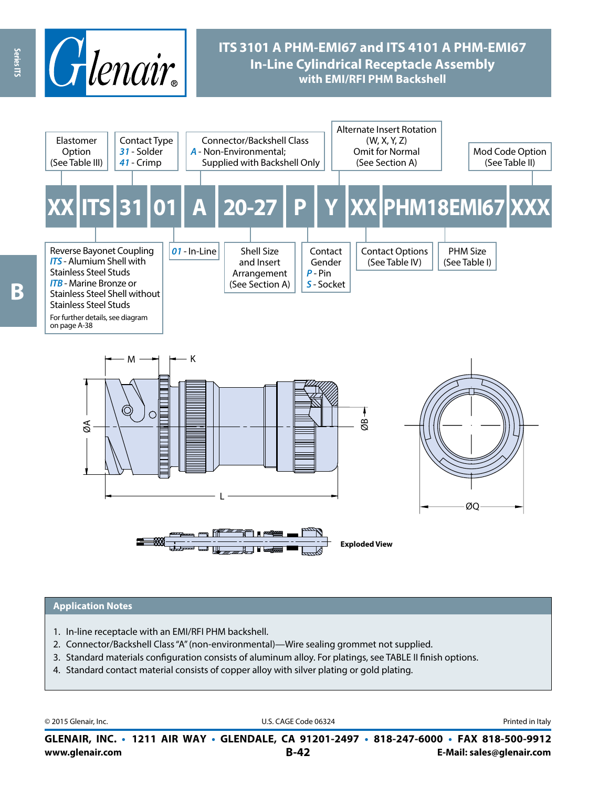

# **ITS 3101 A PHM-EMI67 and ITS 4101 A PHM-EMI67 In-Line Cylindrical Receptacle Assembly with EMI/RFI PHM Backshell**



#### **Application Notes**

- 1. In-line receptacle with an EMI/RFI PHM backshell.
- 2. Connector/Backshell Class "A" (non-environmental)—Wire sealing grommet not supplied.
- 3. Standard materials configuration consists of aluminum alloy. For platings, see TABLE II finish options.
- 4. Standard contact material consists of copper alloy with silver plating or gold plating.

© 2015 Glenair, Inc. **Discription Construction Construction Construction Construction Construction Construction Construction Construction Construction Construction Construction Construction Construction Construction Constr** 

**www.glenair.com B-42 E-Mail: sales@glenair.com GLENAIR, INC. • 1211 AIR WAY • GLENDALE, CA 91201-2497 • 818-247-6000 • FAX 818-500-9912**

Series ITS